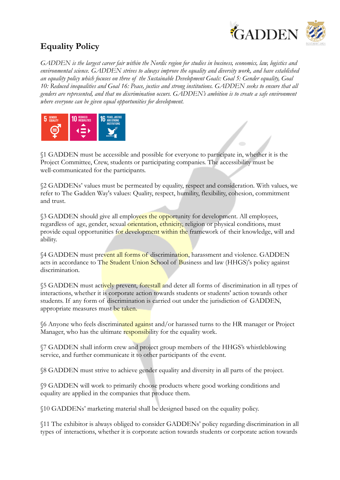

## **Equality Policy**

*GADDEN is the largest career fair within the Nordic region for studies in business, economics, law, logistics and environmental science. GADDEN strives to always improve the equality and diversity work, and have established an equality policy which focuses on three of the Sustainable Development Goals: Goal 5: Gender equality, Goal 10: Reduced inequalities and Goal 16: Peace, justice and strong institutions. GADDEN seeks to ensure that all genders are represented, and that no discrimination occurs. GADDEN's ambition is to create a safe environment where everyone can be given equal opportunities for development.*



§1 GADDEN must be accessible and possible for everyone to participate in, whether it is the Project Committee, Crew, students or participating companies. The accessibility must be well-communicated for the participants.

§2 GADDENs' values must be permeated by equality, respect and consideration. With values, we refer to The Gadden Way's values: Quality, respect, humility, flexibility, cohesion, commitment and trust.

**§3 GADDEN** should give all employees the opportunity for development. All employees, regardless of age, gender, sexual orientation, ethnicity, religion or physical conditions, must provide equal opportunities for development within the framework of their knowledge, will and ability.

§4 GADDEN must prevent all forms of discrimination, harassment and violence. GADDEN acts in accordance to The Student Union School of Business and law (HHGS)'s policy against discrimination.

§5 GADDEN must actively prevent, forestall and deter all forms of discrimination in all types of interactions, whether it is corporate action towards students or students' action towards other students. If any form of discrimination is carried out under the jurisdiction of GADDEN, appropriate measures must be taken.

§6 Anyone who feels discriminated against and/or harassed turns to the HR manager or Project Manager, who has the ultimate responsibility for the equality work.

§7 GADDEN shall inform crew and project group members of the HHGS's whistleblowing service, and further communicate it to other participants of the event.

§8 GADDEN must strive to achieve gender equality and diversity in all parts of the project.

§9 GADDEN will work to primarily choose products where good working conditions and equality are applied in the companies that produce them.

§10 GADDENs' marketing material shall be designed based on the equality policy.

§11 The exhibitor is always obliged to consider GADDENs' policy regarding discrimination in all types of interactions, whether it is corporate action towards students or corporate action towards